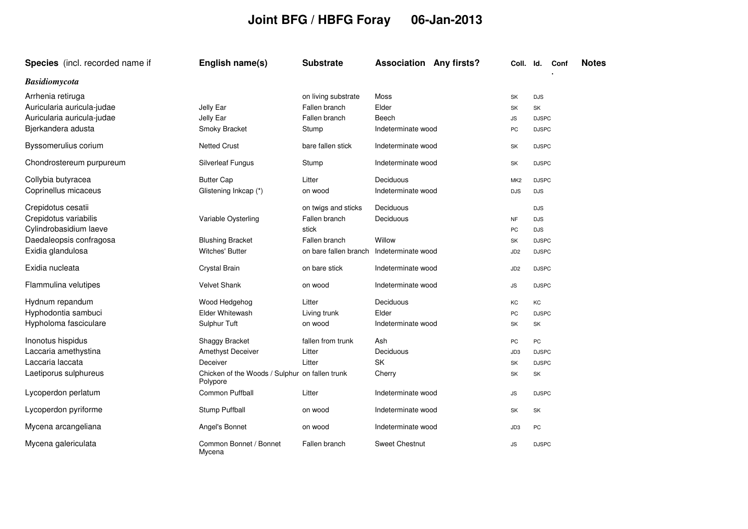## **Joint BFG / HBFG Foray 06-Jan-2013**

| Species (incl. recorded name if                 | English name(s)                                            | <b>Substrate</b>                     | <b>Association Any firsts?</b> | Coll. Id.       | <b>Notes</b><br>Conf |
|-------------------------------------------------|------------------------------------------------------------|--------------------------------------|--------------------------------|-----------------|----------------------|
| <b>Basidiomycota</b>                            |                                                            |                                      |                                |                 |                      |
| Arrhenia retiruga<br>Auricularia auricula-judae | Jelly Ear                                                  | on living substrate<br>Fallen branch | Moss<br>Elder                  | SK<br>SK        | <b>DJS</b><br>SK     |
| Auricularia auricula-judae                      | Jelly Ear                                                  | Fallen branch                        | Beech                          | JS              | <b>DJSPC</b>         |
| Bjerkandera adusta                              | Smoky Bracket                                              | Stump                                | Indeterminate wood             | PC              | <b>DJSPC</b>         |
| Byssomerulius corium                            | <b>Netted Crust</b>                                        | bare fallen stick                    | Indeterminate wood             | SK              | <b>DJSPC</b>         |
| Chondrostereum purpureum                        | <b>Silverleaf Fungus</b>                                   | Stump                                | Indeterminate wood             | SK              | <b>DJSPC</b>         |
| Collybia butyracea                              | <b>Butter Cap</b>                                          | Litter                               | Deciduous                      | MK <sub>2</sub> | <b>DJSPC</b>         |
| Coprinellus micaceus                            | Glistening Inkcap (*)                                      | on wood                              | Indeterminate wood             | <b>DJS</b>      | <b>DJS</b>           |
| Crepidotus cesatii                              |                                                            | on twigs and sticks                  | Deciduous                      |                 | <b>DJS</b>           |
| Crepidotus variabilis                           | Variable Oysterling                                        | Fallen branch                        | Deciduous                      | <b>NF</b>       | <b>DJS</b>           |
| Cylindrobasidium laeve                          |                                                            | stick                                |                                | PC              | <b>DJS</b>           |
| Daedaleopsis confragosa                         | <b>Blushing Bracket</b>                                    | Fallen branch                        | Willow                         | SK              | <b>DJSPC</b>         |
| Exidia glandulosa                               | Witches' Butter                                            | on bare fallen branch                | Indeterminate wood             | JD <sub>2</sub> | <b>DJSPC</b>         |
| Exidia nucleata                                 | Crystal Brain                                              | on bare stick                        | Indeterminate wood             | JD <sub>2</sub> | <b>DJSPC</b>         |
| Flammulina velutipes                            | Velvet Shank                                               | on wood                              | Indeterminate wood             | JS              | <b>DJSPC</b>         |
| Hydnum repandum                                 | Wood Hedgehog                                              | Litter                               | Deciduous                      | KC              | KC                   |
| Hyphodontia sambuci                             | Elder Whitewash                                            | Living trunk                         | Elder                          | PC              | <b>DJSPC</b>         |
| Hypholoma fasciculare                           | Sulphur Tuft                                               | on wood                              | Indeterminate wood             | SK              | SK                   |
| Inonotus hispidus                               | Shaggy Bracket                                             | fallen from trunk                    | Ash                            | PC              | PC                   |
| Laccaria amethystina                            | Amethyst Deceiver                                          | Litter                               | Deciduous                      | JD3             | <b>DJSPC</b>         |
| Laccaria laccata                                | Deceiver                                                   | Litter                               | SK                             | SK              | <b>DJSPC</b>         |
| Laetiporus sulphureus                           | Chicken of the Woods / Sulphur on fallen trunk<br>Polypore |                                      | Cherry                         | SK              | SK                   |
| Lycoperdon perlatum                             | <b>Common Puffball</b>                                     | Litter                               | Indeterminate wood             | <b>JS</b>       | <b>DJSPC</b>         |
| Lycoperdon pyriforme                            | Stump Puffball                                             | on wood                              | Indeterminate wood             | SK              | SK                   |
| Mycena arcangeliana                             | Angel's Bonnet                                             | on wood                              | Indeterminate wood             | JD3             | PC                   |
| Mycena galericulata                             | Common Bonnet / Bonnet<br>Mycena                           | Fallen branch                        | <b>Sweet Chestnut</b>          | <b>JS</b>       | <b>DJSPC</b>         |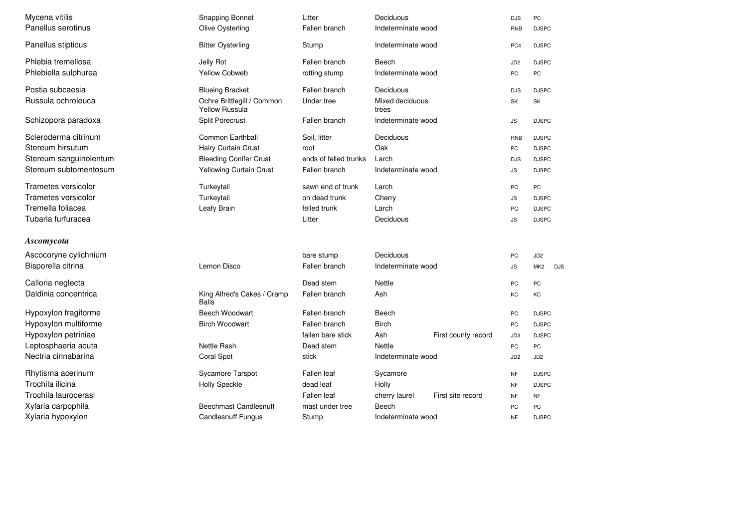| Mycena vitilis         | <b>Snapping Bonnet</b>                              | Litter                | Deciduous                          | <b>DJS</b>                   | PC                            |  |
|------------------------|-----------------------------------------------------|-----------------------|------------------------------------|------------------------------|-------------------------------|--|
| Panellus serotinus     | Olive Oysterling                                    | Fallen branch         | Indeterminate wood                 |                              | <b>DJSPC</b>                  |  |
| Panellus stipticus     | <b>Bitter Oysterling</b>                            | Stump                 | Indeterminate wood                 | PC4                          | <b>DJSPC</b>                  |  |
|                        |                                                     |                       |                                    |                              |                               |  |
| Phlebia tremellosa     | Jelly Rot                                           | Fallen branch         | Beech                              | JD <sub>2</sub>              | <b>DJSPC</b>                  |  |
| Phlebiella sulphurea   | <b>Yellow Cobweb</b>                                | rotting stump         | Indeterminate wood                 | PC                           | PC                            |  |
| Postia subcaesia       | <b>Blueing Bracket</b>                              | Fallen branch         | Deciduous                          | <b>DJS</b>                   | <b>DJSPC</b>                  |  |
| Russula ochroleuca     | Ochre Brittlegill / Common<br><b>Yellow Russula</b> | Under tree            | Mixed deciduous<br>trees           |                              | SK                            |  |
| Schizopora paradoxa    | <b>Split Porecrust</b>                              | Fallen branch         | Indeterminate wood                 | JS                           | <b>DJSPC</b>                  |  |
| Scleroderma citrinum   | Common Earthball                                    | Soil, litter          | Deciduous                          | <b>RNB</b>                   | <b>DJSPC</b>                  |  |
| Stereum hirsutum       | Hairy Curtain Crust                                 | root                  | Oak                                |                              | <b>DJSPC</b>                  |  |
| Stereum sanguinolentum | <b>Bleeding Conifer Crust</b>                       | ends of felled trunks | Larch                              |                              | <b>DJSPC</b>                  |  |
| Stereum subtomentosum  | Yellowing Curtain Crust                             | Fallen branch         | Indeterminate wood                 |                              | <b>DJSPC</b>                  |  |
| Trametes versicolor    | Turkeytail                                          | sawn end of trunk     | Larch                              | PC                           | PC                            |  |
| Trametes versicolor    | Turkeytail                                          | on dead trunk         | Cherry                             | $\mathsf{JS}\hspace{0.04cm}$ | <b>DJSPC</b>                  |  |
| Tremella foliacea      | Leafy Brain                                         | felled trunk          | Larch                              | PC                           | <b>DJSPC</b>                  |  |
| Tubaria furfuracea     |                                                     | Litter                | Deciduous                          |                              | <b>DJSPC</b>                  |  |
| Ascomycota             |                                                     |                       |                                    |                              |                               |  |
| Ascocoryne cylichnium  |                                                     | bare stump            | Deciduous                          | PC                           | JD <sub>2</sub>               |  |
| Bisporella citrina     | Lemon Disco                                         | Fallen branch         | Indeterminate wood                 | <b>JS</b>                    | MK <sub>2</sub><br><b>DJS</b> |  |
| Calloria neglecta      |                                                     | Dead stem             | Nettle                             | PC                           | PC                            |  |
| Daldinia concentrica   | King Alfred's Cakes / Cramp<br><b>Balls</b>         | Fallen branch         | Ash                                | KC                           | KC                            |  |
| Hypoxylon fragiforme   | Beech Woodwart                                      | Fallen branch         | Beech                              | PC                           | <b>DJSPC</b>                  |  |
| Hypoxylon multiforme   | <b>Birch Woodwart</b>                               | Fallen branch         | <b>Birch</b>                       | PC                           | <b>DJSPC</b>                  |  |
| Hypoxylon petriniae    |                                                     | fallen bare stick     | Ash<br>First county record         | JD3                          | <b>DJSPC</b>                  |  |
| Leptosphaeria acuta    | Nettle Rash                                         | Dead stem             | Nettle                             | PC                           | PC                            |  |
| Nectria cinnabarina    | Coral Spot                                          | stick                 | Indeterminate wood                 | JD <sub>2</sub>              | JD2                           |  |
| Rhytisma acerinum      | Sycamore Tarspot                                    | Fallen leaf           | Sycamore                           | <b>NF</b>                    | <b>DJSPC</b>                  |  |
| Trochila ilicina       | <b>Holly Speckle</b>                                | dead leaf             | Holly                              | <b>NF</b>                    | <b>DJSPC</b>                  |  |
| Trochila laurocerasi   |                                                     | Fallen leaf           | First site record<br>cherry laurel | <b>NF</b>                    | <b>NF</b>                     |  |
| Xylaria carpophila     | <b>Beechmast Candlesnuff</b>                        | mast under tree       | Beech                              | PC                           | PC                            |  |
| Xylaria hypoxylon      | <b>Candlesnuff Fungus</b>                           | Stump                 | Indeterminate wood                 | <b>NF</b>                    | <b>DJSPC</b>                  |  |